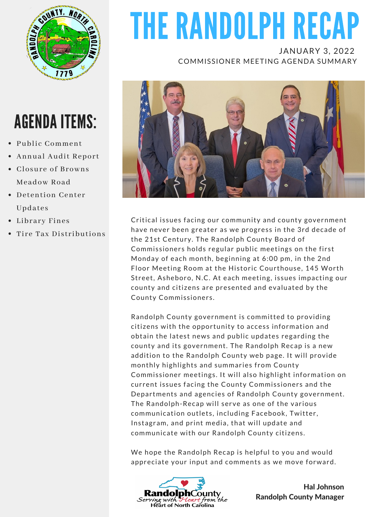

# AGENDA ITEMS:

- Public Comment
- Annual Audit Report
- Closure of Browns Meadow Road
- Detention Center Updates
- Library Fines
- Tire Tax Distributions

# THE RANDOLPH RECAP

JANUARY 3, 2022 COMMISSIONER MEETING AGENDA SUMMARY



Critical issues facing our community and county government have never been greater as we progress in the 3rd decade of the 21st Century. The Randolph County Board of Commissioners holds regular public meetings on the first Monday of each month, beginning at 6:00 pm, in the 2nd Floor Meeting Room at the Historic Courthouse, 145 Worth Street, Asheboro, N.C. At each meeting, issues impacting our county and citizens are presented and evaluated by the County Commissioners.

Randolph County government is committed to providing citizens with the opportunity to access information and obtain the latest news and public updates regarding the county and its government. The Randolph Recap is a new addition to the Randolph County web page. It will provide monthly highlights and summaries from County Commissioner meetings. It will also highlight information on current issues facing the County Commissioners and the Departments and agencies of Randolph County government. The Randolph-Recap will serve as one of the various communication outlets, including Facebook, Twitter, Instagram, and print media, that will update and communicate with our Randolph County citizens.

We hope the Randolph Recap is helpful to you and would appreciate your input and comments as we move forward.



Hal Johnson Randolph County Manager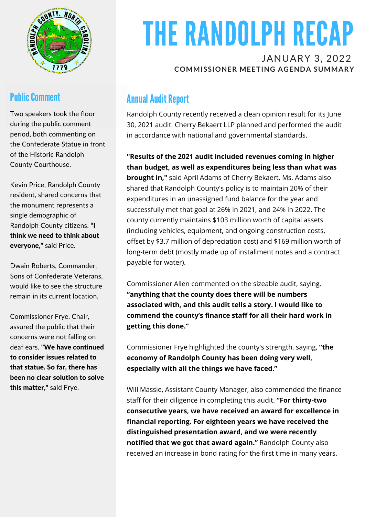

### **Public Comment**

Two speakers took the floor during the public comment period, both commenting on the Confederate Statue in front of the Historic Randolph County Courthouse.

Kevin Price, Randolph County resident, shared concerns that the monument represents a single demographic of Randolph County citizens. "I think we need to think about everyone," said Price.

Dwain Roberts, Commander, Sons of Confederate Veterans, would like to see the structure remain in its current location.

Commissioner Frye, Chair, assured the public that their concerns were not falling on deaf ears. "We have continued to consider issues related to that statue. So far, there has been no clear solution to solve this matter," said Frye.

# THE RANDOLPH RECAP

#### JANUARY 3, 2022 **COMMISSIONER MEETING AGENDA SUMMARY**

## **Annual Audit Report**

Randolph County recently received a clean opinion result for its June 30, 2021 audit. Cherry Bekaert LLP planned and performed the audit in accordance with national and governmental standards.

**"Results of the 2021 audit included revenues coming in higher than budget, as well as expenditures being less than what was brought in,"** said April Adams of Cherry Bekaert. Ms. Adams also shared that Randolph County's policy is to maintain 20% of their expenditures in an unassigned fund balance for the year and successfully met that goal at 26% in 2021, and 24% in 2022. The county currently maintains \$103 million worth of capital assets (including vehicles, equipment, and ongoing construction costs, offset by \$3.7 million of depreciation cost) and \$169 million worth of long-term debt (mostly made up of installment notes and a contract payable for water).

Commissioner Allen commented on the sizeable audit, saying, **"anything that the county does there will be numbers associated with, and this audit tells a story. I would like to commend the county's finance staff for all their hard work in getting this done."**

Commissioner Frye highlighted the county's strength, saying, **"the economy of Randolph County has been doing very well, especially with all the things we have faced."**

Will Massie, Assistant County Manager, also commended the finance staff for their diligence in completing this audit. **"For thirty-two consecutive years, we have received an award for excellence in financial reporting. For eighteen years we have received the distinguished presentation award, and we were recently notified that we got that award again."** Randolph County also received an increase in bond rating for the first time in many years.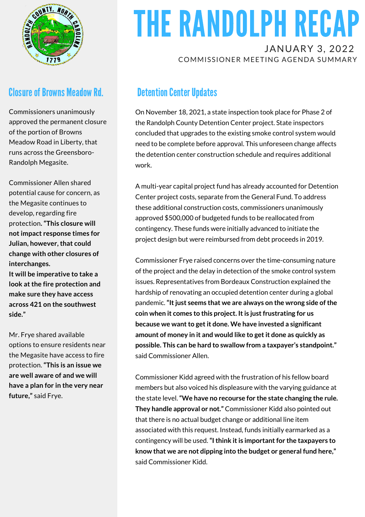

#### **Closure of Browns Meadow Rd.**

Commissioners unanimously approved the permanent closure of the portion of Browns Meadow Road in Liberty, that runs across the Greensboro-Randolph Megasite.

Commissioner Allen shared potential cause for concern, as the Megasite continues to develop, regarding fire protection**. "This closure will not impact response times for Julian, however, that could change with other closures of interchanges.**

**It will be imperative to take a look at the fire protection and make sure they have access across 421 on the southwest side."**

Mr. Frye shared available options to ensure residents near the Megasite have access to fire protection. **"This is an issue we are well aware of and we will have a plan for in the very near future,"** said Frye.

# THE RANDOLPH RECAP JANUARY 3, 2022

COMMISSIONER MEETING AGENDA SUMMARY

### **Detention Center Updates**

On November 18, 2021, a state inspection took place for Phase 2 of the Randolph County Detention Center project. State inspectors concluded that upgrades to the existing smoke control system would need to be complete before approval. This unforeseen change affects the detention center construction schedule and requires additional work.

A multi-year capital project fund has already accounted for Detention Center project costs, separate from the General Fund. To address these additional construction costs, commissioners unanimously approved \$500,000 of budgeted funds to be reallocated from contingency. These funds were initially advanced to initiate the project design but were reimbursed from debt proceeds in 2019.

Commissioner Frye raised concerns over the time-consuming nature of the project and the delay in detection of the smoke control system issues. Representatives from Bordeaux Construction explained the hardship of renovating an occupied detention center during a global pandemic.**"Itjust seems that we are always on the wrong side ofthe coin when it comes to this project. Itis justfrustrating for us because we wantto getit done. We have invested a significant amount of money in it and would like to getit done as quickly as possible. This can be hard to swallow from a taxpayer's standpoint."** said Commissioner Allen.

Commissioner Kidd agreed with the frustration of his fellow board members but also voiced his displeasure with the varying guidance at the state level.**"We have no recourse for the state changing the rule. They handle approval or not."** Commissioner Kidd also pointed out that there is no actual budget change or additional line item associated with this request. Instead, funds initially earmarked as a contingency will be used.**"Ithink itis importantfor the taxpayers to know that we are not dipping into the budget or general fund here,"** said Commissioner Kidd.